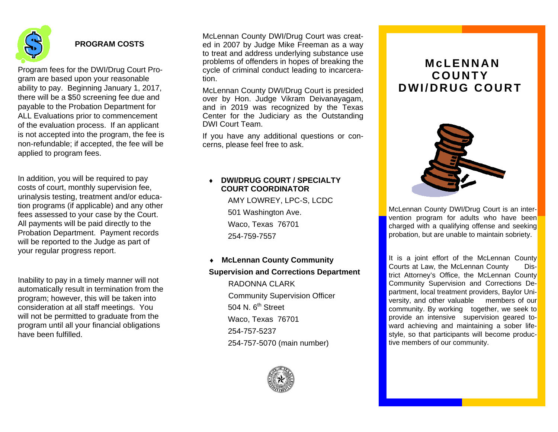

# **PROGRAM COSTS**

Program fees for the DWI/Drug Court Program are based upon your reasonable ability to pay. Beginning January 1, 2017, there will be a \$50 screening fee due and payable to the Probation Department for ALL Evaluations prior to commencement of the evaluation process. If an applicant is not accepted into the program, the fee is non-refundable; if accepted, the fee will be applied to program fees.

In addition, you will be required to pay costs of court, monthly supervision fee, urinalysis testing, treatment and/or education programs (if applicable) and any other fees assessed to your case by the Court. All payments will be paid directly to the Probation Department. Payment records will be reported to the Judge as part of your regular progress report.

Inability to pay in a timely manner will not automatically result in termination from the program; however, this will be taken into consideration at all staff meetings. You will not be permitted to graduate from the program until all your financial obligations have been fulfilled.

McLennan County DWI/Drug Court was created in 2007 by Judge Mike Freeman as a way to treat and address underlying substance use problems of offenders in hopes of breaking the cycle of criminal conduct leading to incarceration.

McLennan County DWI/Drug Court is presided over by Hon. Judge Vikram Deivanayagam, and in 2019 was recognized by the Texas Center for the Judiciary as the Outstanding DWI Court Team.

If you have any additional questions or concerns, please feel free to ask.

#### ٠ **DWI/DRUG COURT / SPECIALTY COURT COORDINATOR**

AMY LOWREY, LPC-S, LCDC 501 Washington Ave. Waco, Texas 76701 254-759-7557

## **McLennan County Community Supervision and Corrections Department**

RADONNA CLARK Community Supervision Officer  $504$  N.  $6^{th}$  Street Waco, Texas 76701 254-757-5237 254-757-5070 (main number)



# **McLENNAN COUNTY DWI/DRUG COURT**



McLennan County DWI/Drug Court is an intervention program for adults who have been charged with a qualifying offense and seeking probation, but are unable to maintain sobriety.

It is a joint effort of the McLennan County Courts at Law, the McLennan County District Attorney's Office, the McLennan County Community Supervision and Corrections Department, local treatment providers, Baylor University, and other valuable members of our community. By working together, we seek to provide an intensive supervision geared toward achieving and maintaining a sober lifestyle, so that participants will become productive members of our community.